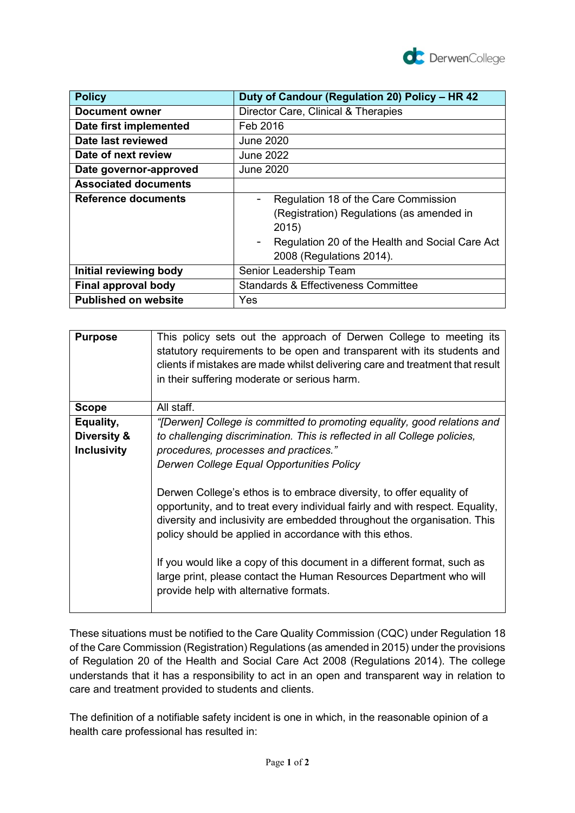

| <b>Policy</b>               | Duty of Candour (Regulation 20) Policy - HR 42                                                                                                                            |
|-----------------------------|---------------------------------------------------------------------------------------------------------------------------------------------------------------------------|
| <b>Document owner</b>       | Director Care, Clinical & Therapies                                                                                                                                       |
| Date first implemented      | Feb 2016                                                                                                                                                                  |
| Date last reviewed          | <b>June 2020</b>                                                                                                                                                          |
| Date of next review         | <b>June 2022</b>                                                                                                                                                          |
| Date governor-approved      | June 2020                                                                                                                                                                 |
| <b>Associated documents</b> |                                                                                                                                                                           |
| Reference documents         | Regulation 18 of the Care Commission<br>(Registration) Regulations (as amended in<br>2015)<br>Regulation 20 of the Health and Social Care Act<br>2008 (Regulations 2014). |
| Initial reviewing body      | Senior Leadership Team                                                                                                                                                    |
| Final approval body         | <b>Standards &amp; Effectiveness Committee</b>                                                                                                                            |
| <b>Published on website</b> | Yes                                                                                                                                                                       |

| <b>Purpose</b>     | This policy sets out the approach of Derwen College to meeting its<br>statutory requirements to be open and transparent with its students and<br>clients if mistakes are made whilst delivering care and treatment that result<br>in their suffering moderate or serious harm.               |
|--------------------|----------------------------------------------------------------------------------------------------------------------------------------------------------------------------------------------------------------------------------------------------------------------------------------------|
| <b>Scope</b>       | All staff.                                                                                                                                                                                                                                                                                   |
| Equality,          | "[Derwen] College is committed to promoting equality, good relations and                                                                                                                                                                                                                     |
| Diversity &        | to challenging discrimination. This is reflected in all College policies,                                                                                                                                                                                                                    |
| <b>Inclusivity</b> | procedures, processes and practices."                                                                                                                                                                                                                                                        |
|                    | Derwen College Equal Opportunities Policy                                                                                                                                                                                                                                                    |
|                    | Derwen College's ethos is to embrace diversity, to offer equality of<br>opportunity, and to treat every individual fairly and with respect. Equality,<br>diversity and inclusivity are embedded throughout the organisation. This<br>policy should be applied in accordance with this ethos. |
|                    | If you would like a copy of this document in a different format, such as<br>large print, please contact the Human Resources Department who will<br>provide help with alternative formats.                                                                                                    |

These situations must be notified to the Care Quality Commission (CQC) under Regulation 18 of the Care Commission (Registration) Regulations (as amended in 2015) under the provisions of Regulation 20 of the Health and Social Care Act 2008 (Regulations 2014). The college understands that it has a responsibility to act in an open and transparent way in relation to care and treatment provided to students and clients.

The definition of a notifiable safety incident is one in which, in the reasonable opinion of a health care professional has resulted in: